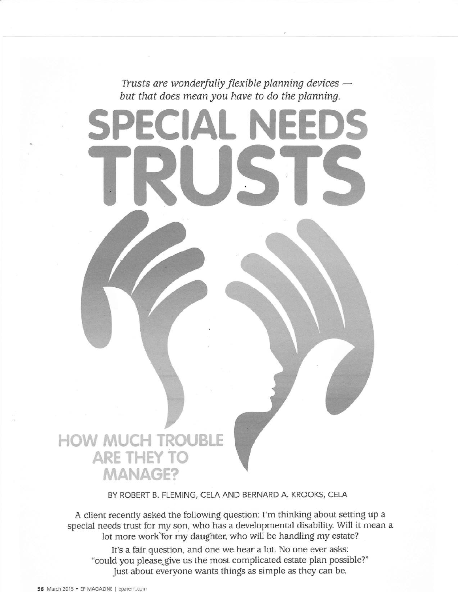Trusts are wonderfully flexible planning devices –<br>wt that does mean you have to do the planning but that does mean you have to do the planning.

SPECIAL NEEDS

TRUSTS

## HOW MUCH TROUBLE ARE THEY TO MANAGE?

BY ROBERT B. FLEMING, CELA AND BERNARD A. KROOKS, CELA

A client recently asked the following question: I'm thinking about setting up a special needs trust for my son, who has a developmental disability. Will it mean a lot more work`for my daughter, who will be handling my estate?

It's a fair question, and one we hear a lot. No one ever asks: "could you please give us the most complicated estate plan possible?" Just about everyone wants things as simple as they can be.